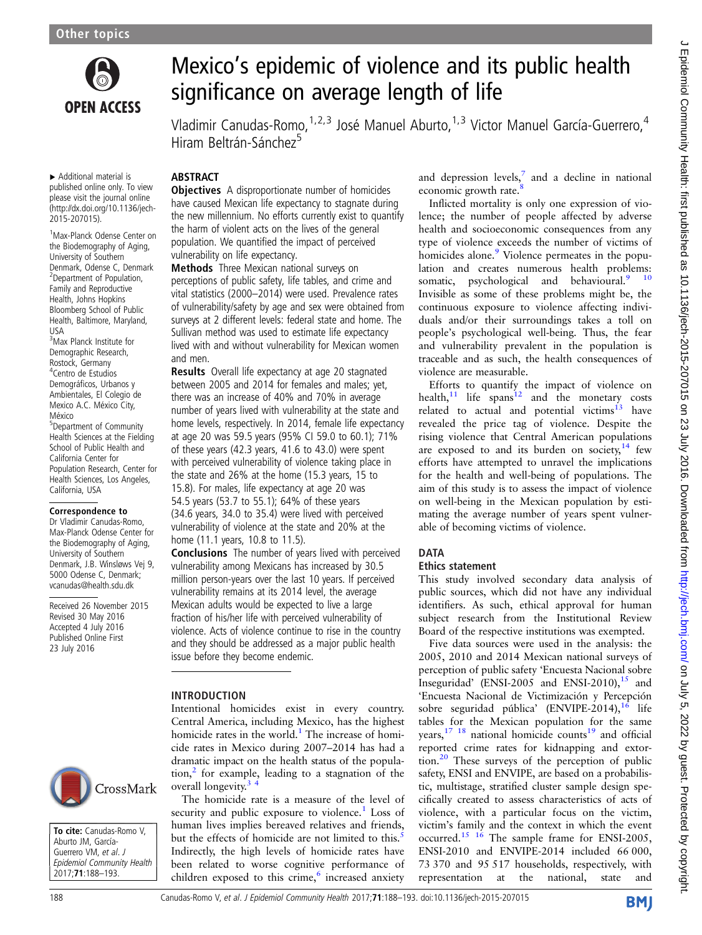

▸ Additional material is published online only. To view please visit the journal online [\(http://dx.doi.org/10.1136/jech-](http://dx.doi.org/10.1136/jech-2015-207015)[2015-207015\)](http://dx.doi.org/10.1136/jech-2015-207015).

1 Max-Planck Odense Center on the Biodemography of Aging, University of Southern Denmark, Odense C, Denmark <sup>2</sup> Department of Population, Family and Reproductive Health, Johns Hopkins Bloomberg School of Public Health, Baltimore, Maryland, USA

3 Max Planck Institute for Demographic Research, Rostock, Germany 4 Centro de Estudios Demográficos, Urbanos y Ambientales, El Colegio de Mexico A.C. México City, México 5 Department of Community Health Sciences at the Fielding School of Public Health and California Center for Population Research, Center for Health Sciences, Los Angeles, California, USA

#### Correspondence to

Dr Vladimir Canudas-Romo, Max-Planck Odense Center for the Biodemography of Aging, University of Southern Denmark, J.B. Winsløws Vej 9, 5000 Odense C, Denmark; vcanudas@health.sdu.dk

Received 26 November 2015 Revised 30 May 2016 Accepted 4 July 2016 Published Online First 23 July 2016



To cite: Canudas-Romo V, Aburto JM, García-Guerrero VM, et al. J Epidemiol Community Health 2017;71:188–193.

# Mexico's epidemic of violence and its public health significance on average length of life

Vladimir Canudas-Romo, <sup>1,2,3</sup> José Manuel Aburto, <sup>1,3</sup> Victor Manuel García-Guerrero, <sup>4</sup> Hiram Beltrán-Sánchez<sup>5</sup>

## ABSTRACT

**Objectives** A disproportionate number of homicides have caused Mexican life expectancy to stagnate during the new millennium. No efforts currently exist to quantify the harm of violent acts on the lives of the general population. We quantified the impact of perceived vulnerability on life expectancy.

Methods Three Mexican national surveys on perceptions of public safety, life tables, and crime and vital statistics (2000–2014) were used. Prevalence rates of vulnerability/safety by age and sex were obtained from surveys at 2 different levels: federal state and home. The Sullivan method was used to estimate life expectancy lived with and without vulnerability for Mexican women and men.

Results Overall life expectancy at age 20 stagnated between 2005 and 2014 for females and males; yet, there was an increase of 40% and 70% in average number of years lived with vulnerability at the state and home levels, respectively. In 2014, female life expectancy at age 20 was 59.5 years (95% CI 59.0 to 60.1); 71% of these years (42.3 years, 41.6 to 43.0) were spent with perceived vulnerability of violence taking place in the state and 26% at the home (15.3 years, 15 to 15.8). For males, life expectancy at age 20 was 54.5 years (53.7 to 55.1); 64% of these years (34.6 years, 34.0 to 35.4) were lived with perceived vulnerability of violence at the state and 20% at the home (11.1 years, 10.8 to 11.5).

Conclusions The number of years lived with perceived vulnerability among Mexicans has increased by 30.5 million person-years over the last 10 years. If perceived vulnerability remains at its 2014 level, the average Mexican adults would be expected to live a large fraction of his/her life with perceived vulnerability of violence. Acts of violence continue to rise in the country and they should be addressed as a major public health issue before they become endemic.

### INTRODUCTION

Intentional homicides exist in every country. Central America, including Mexico, has the highest homicide rates in the world.<sup>[1](#page-5-0)</sup> The increase of homicide rates in Mexico during 2007–2014 has had a dramatic impact on the health status of the population, $\frac{2}{3}$  $\frac{2}{3}$  $\frac{2}{3}$  for example, leading to a stagnation of the overall longevity.<sup>3</sup>

The homicide rate is a measure of the level of security and public exposure to violence.<sup>1</sup> Loss of human lives implies bereaved relatives and friends, but the effects of homicide are not limited to this.<sup>[5](#page-5-0)</sup> Indirectly, the high levels of homicide rates have been related to worse cognitive performance of children exposed to this crime,<sup>[6](#page-5-0)</sup> increased anxiety

and depression levels, $\frac{7}{4}$  and a decline in national economic growth rate.

Inflicted mortality is only one expression of violence; the number of people affected by adverse health and socioeconomic consequences from any type of violence exceeds the number of victims of homicides alone.<sup>[9](#page-5-0)</sup> Violence permeates in the population and creates numerous health problems: somatic, psychological and behavioural.<sup>9</sup> <sup>10</sup> Invisible as some of these problems might be, the continuous exposure to violence affecting individuals and/or their surroundings takes a toll on people's psychological well-being. Thus, the fear and vulnerability prevalent in the population is traceable and as such, the health consequences of violence are measurable.

Efforts to quantify the impact of violence on health, $11$  life spans<sup>[12](#page-5-0)</sup> and the monetary costs related to actual and potential victims<sup>13</sup> have revealed the price tag of violence. Despite the rising violence that Central American populations are exposed to and its burden on society, $14$  few efforts have attempted to unravel the implications for the health and well-being of populations. The aim of this study is to assess the impact of violence on well-being in the Mexican population by estimating the average number of years spent vulnerable of becoming victims of violence.

## **DATA**

#### Ethics statement

This study involved secondary data analysis of public sources, which did not have any individual identifiers. As such, ethical approval for human subject research from the Institutional Review Board of the respective institutions was exempted.

Five data sources were used in the analysis: the 2005, 2010 and 2014 Mexican national surveys of perception of public safety 'Encuesta Nacional sobre Inseguridad' (ENSI-2005 and ENSI-2010), $^{15}$  and 'Encuesta Nacional de Victimización y Percepción sobre seguridad pública' (ENVIPE-2014), <sup>[16](#page-5-0)</sup> life tables for the Mexican population for the same years,  $17 \t18$  national homicide counts<sup>19</sup> and official reported crime rates for kidnapping and extor-tion.<sup>[20](#page-5-0)</sup> These surveys of the perception of public safety, ENSI and ENVIPE, are based on a probabilistic, multistage, stratified cluster sample design specifically created to assess characteristics of acts of violence, with a particular focus on the victim, victim's family and the context in which the event occurred[.15 16](#page-5-0) The sample frame for ENSI-2005, ENSI-2010 and ENVIPE-2014 included 66 000, 73 370 and 95 517 households, respectively, with representation at the national, state and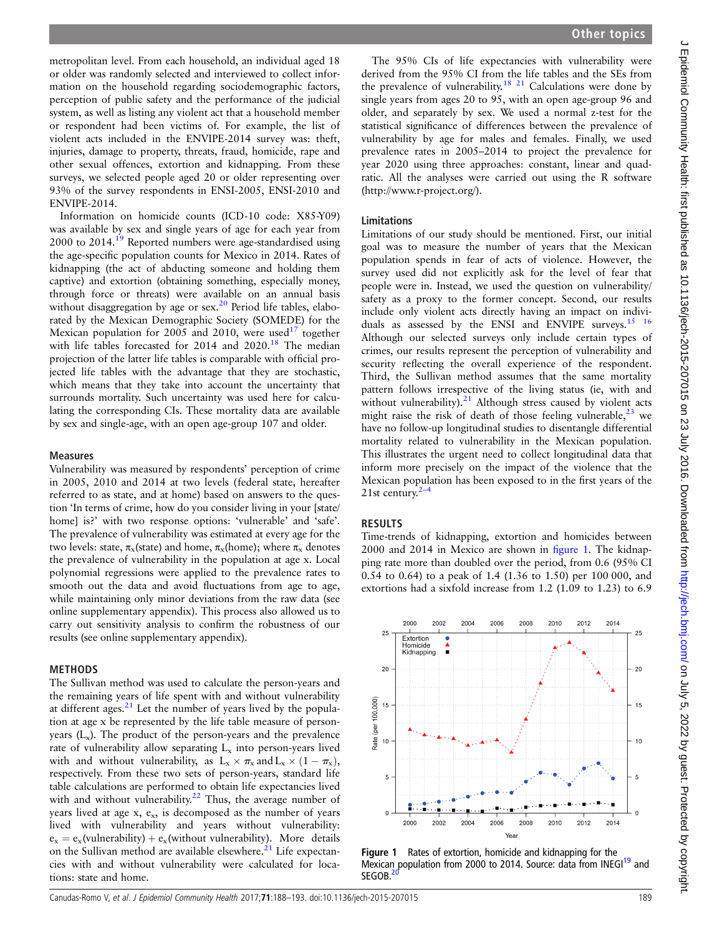<span id="page-1-0"></span>metropolitan level. From each household, an individual aged 18 or older was randomly selected and interviewed to collect information on the household regarding sociodemographic factors, perception of public safety and the performance of the judicial system, as well as listing any violent act that a household member or respondent had been victims of. For example, the list of violent acts included in the ENVIPE-2014 survey was: theft, injuries, damage to property, threats, fraud, homicide, rape and other sexual offences, extortion and kidnapping. From these surveys, we selected people aged 20 or older representing over 93% of the survey respondents in ENSI-2005, ENSI-2010 and ENVIPE-2014.

Information on homicide counts (ICD-10 code: X85-Y09) was available by sex and single years of age for each year from 2000 to 2014.[19](#page-5-0) Reported numbers were age-standardised using the age-specific population counts for Mexico in 2014. Rates of kidnapping (the act of abducting someone and holding them captive) and extortion (obtaining something, especially money, through force or threats) were available on an annual basis without disaggregation by age or  $sex.<sup>20</sup>$  $sex.<sup>20</sup>$  $sex.<sup>20</sup>$  Period life tables, elaborated by the Mexican Demographic Society (SOMEDE) for the Mexican population for 2005 and 2010, were used<sup>[17](#page-5-0)</sup> together with life tables forecasted for 2014 and 2020.<sup>18</sup> The median projection of the latter life tables is comparable with official projected life tables with the advantage that they are stochastic, which means that they take into account the uncertainty that surrounds mortality. Such uncertainty was used here for calculating the corresponding CIs. These mortality data are available by sex and single-age, with an open age-group 107 and older.

#### Measures

Vulnerability was measured by respondents' perception of crime in 2005, 2010 and 2014 at two levels (federal state, hereafter referred to as state, and at home) based on answers to the question 'In terms of crime, how do you consider living in your [state/ home] is?' with two response options: 'vulnerable' and 'safe'. The prevalence of vulnerability was estimated at every age for the two levels: state,  $\pi_{\rm x}$ (state) and home,  $\pi_{\rm x}$ (home); where  $\pi_{\rm x}$  denotes the prevalence of vulnerability in the population at age x. Local polynomial regressions were applied to the prevalence rates to smooth out the data and avoid fluctuations from age to age, while maintaining only minor deviations from the raw data (see online supplementary appendix). This process also allowed us to carry out sensitivity analysis to confirm the robustness of our results (see online supplementary appendix).

#### METHODS

The Sullivan method was used to calculate the person-years and the remaining years of life spent with and without vulnerability at different ages. $21$  Let the number of years lived by the population at age x be represented by the life table measure of personyears  $(L_x)$ . The product of the person-years and the prevalence rate of vulnerability allow separating  $L<sub>x</sub>$  into person-years lived with and without vulnerability, as  $L_x \times \pi_x$  and  $L_x \times (1 - \pi_x)$ , respectively. From these two sets of person-years, standard life table calculations are performed to obtain life expectancies lived with and without vulnerability. $22$  Thus, the average number of years lived at age  $x$ ,  $e_x$ , is decomposed as the number of years lived with vulnerability and years without vulnerability:  $e_x = e_x$ (vulnerability) +  $e_x$ (without vulnerability). More details on the Sullivan method are available elsewhere. $^{21}$  $^{21}$  $^{21}$  Life expectancies with and without vulnerability were calculated for locations: state and home.

The 95% CIs of life expectancies with vulnerability were derived from the 95% CI from the life tables and the SEs from the prevalence of vulnerability.<sup>[18 21](#page-5-0)</sup> Calculations were done by single years from ages 20 to 95, with an open age-group 96 and older, and separately by sex. We used a normal z-test for the statistical significance of differences between the prevalence of vulnerability by age for males and females. Finally, we used prevalence rates in 2005–2014 to project the prevalence for year 2020 using three approaches: constant, linear and quadratic. All the analyses were carried out using the R software ([http://www.r-project.org/\)](http://www.r-project.org/).

#### Limitations

Limitations of our study should be mentioned. First, our initial goal was to measure the number of years that the Mexican population spends in fear of acts of violence. However, the survey used did not explicitly ask for the level of fear that people were in. Instead, we used the question on vulnerability/ safety as a proxy to the former concept. Second, our results include only violent acts directly having an impact on individuals as assessed by the ENSI and ENVIPE surveys[.15 16](#page-5-0) Although our selected surveys only include certain types of crimes, our results represent the perception of vulnerability and security reflecting the overall experience of the respondent. Third, the Sullivan method assumes that the same mortality pattern follows irrespective of the living status (ie, with and without vulnerability). $21$  Although stress caused by violent acts might raise the risk of death of those feeling vulnerable,  $23$  we have no follow-up longitudinal studies to disentangle differential mortality related to vulnerability in the Mexican population. This illustrates the urgent need to collect longitudinal data that inform more precisely on the impact of the violence that the Mexican population has been exposed to in the first years of the [2](#page-5-0)1st century. $2-4$ 

#### RESULTS

Time-trends of kidnapping, extortion and homicides between 2000 and 2014 in Mexico are shown in figure 1. The kidnapping rate more than doubled over the period, from 0.6 (95% CI 0.54 to 0.64) to a peak of 1.4 (1.36 to 1.50) per 100 000, and extortions had a sixfold increase from 1.2 (1.09 to 1.23) to 6.9



Figure 1 Rates of extortion, homicide and kidnapping for the Mexican population from 2000 to 2014. Source: data from INEGI<sup>[19](#page-5-0)</sup> and SEGOB.<sup>2</sup>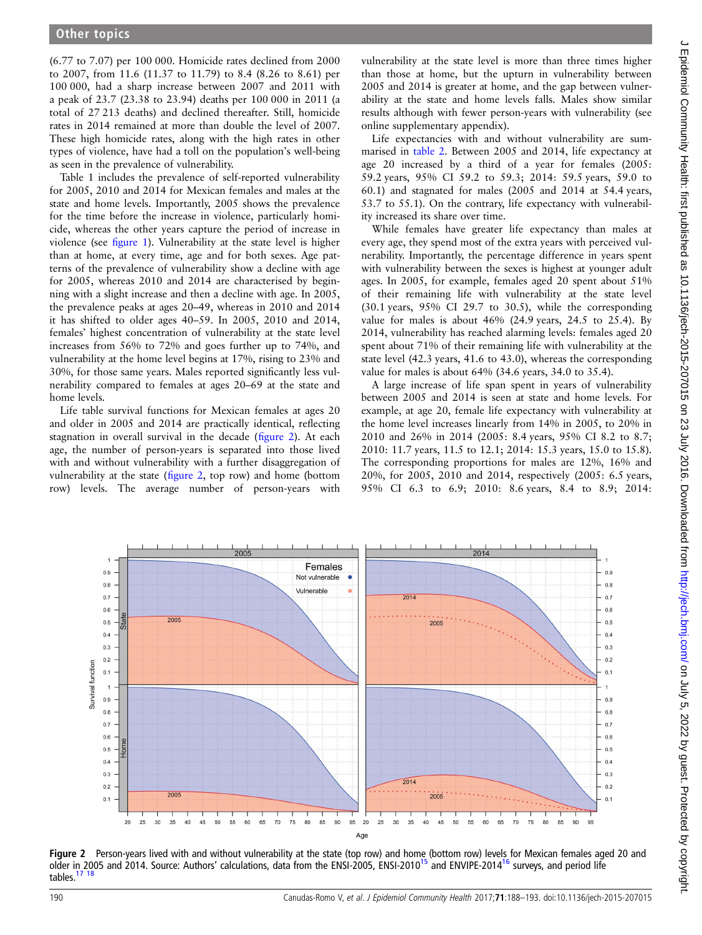(6.77 to 7.07) per 100 000. Homicide rates declined from 2000 to 2007, from 11.6 (11.37 to 11.79) to 8.4 (8.26 to 8.61) per 100 000, had a sharp increase between 2007 and 2011 with a peak of 23.7 (23.38 to 23.94) deaths per 100 000 in 2011 (a total of 27 213 deaths) and declined thereafter. Still, homicide rates in 2014 remained at more than double the level of 2007. These high homicide rates, along with the high rates in other types of violence, have had a toll on the population's well-being as seen in the prevalence of vulnerability.

Table 1 includes the prevalence of self-reported vulnerability for 2005, 2010 and 2014 for Mexican females and males at the state and home levels. Importantly, 2005 shows the prevalence for the time before the increase in violence, particularly homicide, whereas the other years capture the period of increase in violence (see fi[gure 1\)](#page-1-0). Vulnerability at the state level is higher than at home, at every time, age and for both sexes. Age patterns of the prevalence of vulnerability show a decline with age for 2005, whereas 2010 and 2014 are characterised by beginning with a slight increase and then a decline with age. In 2005, the prevalence peaks at ages 20–49, whereas in 2010 and 2014 it has shifted to older ages 40–59. In 2005, 2010 and 2014, females' highest concentration of vulnerability at the state level increases from 56% to 72% and goes further up to 74%, and vulnerability at the home level begins at 17%, rising to 23% and 30%, for those same years. Males reported significantly less vulnerability compared to females at ages 20–69 at the state and home levels.

Life table survival functions for Mexican females at ages 20 and older in 2005 and 2014 are practically identical, reflecting stagnation in overall survival in the decade (figure 2). At each age, the number of person-years is separated into those lived with and without vulnerability with a further disaggregation of vulnerability at the state (figure 2, top row) and home (bottom row) levels. The average number of person-years with

vulnerability at the state level is more than three times higher than those at home, but the upturn in vulnerability between 2005 and 2014 is greater at home, and the gap between vulnerability at the state and home levels falls. Males show similar results although with fewer person-years with vulnerability (see online supplementary appendix).

Life expectancies with and without vulnerability are summarised in [table 2](#page-4-0). Between 2005 and 2014, life expectancy at age 20 increased by a third of a year for females (2005: 59.2 years, 95% CI 59.2 to 59.3; 2014: 59.5 years, 59.0 to 60.1) and stagnated for males (2005 and 2014 at 54.4 years, 53.7 to 55.1). On the contrary, life expectancy with vulnerability increased its share over time.

While females have greater life expectancy than males at every age, they spend most of the extra years with perceived vulnerability. Importantly, the percentage difference in years spent with vulnerability between the sexes is highest at younger adult ages. In 2005, for example, females aged 20 spent about 51% of their remaining life with vulnerability at the state level (30.1 years, 95% CI 29.7 to 30.5), while the corresponding value for males is about  $46\%$  (24.9 years, 24.5 to 25.4). By 2014, vulnerability has reached alarming levels: females aged 20 spent about 71% of their remaining life with vulnerability at the state level (42.3 years, 41.6 to 43.0), whereas the corresponding value for males is about 64% (34.6 years, 34.0 to 35.4).

A large increase of life span spent in years of vulnerability between 2005 and 2014 is seen at state and home levels. For example, at age 20, female life expectancy with vulnerability at the home level increases linearly from 14% in 2005, to 20% in 2010 and 26% in 2014 (2005: 8.4 years, 95% CI 8.2 to 8.7; 2010: 11.7 years, 11.5 to 12.1; 2014: 15.3 years, 15.0 to 15.8). The corresponding proportions for males are 12%, 16% and 20%, for 2005, 2010 and 2014, respectively (2005: 6.5 years, 95% CI 6.3 to 6.9; 2010: 8.6 years, 8.4 to 8.9; 2014:



Figure 2 Person-years lived with and without vulnerability at the state (top row) and home (bottom row) levels for Mexican females aged 20 and older in 2005 and 2014. Source: Authors' calculations, data from the ENSI-2005, ENSI-2010<sup>[15](#page-5-0)</sup> and ENVIPE-2014<sup>[16](#page-5-0)</sup> surveys, and period life tables.[17 18](#page-5-0)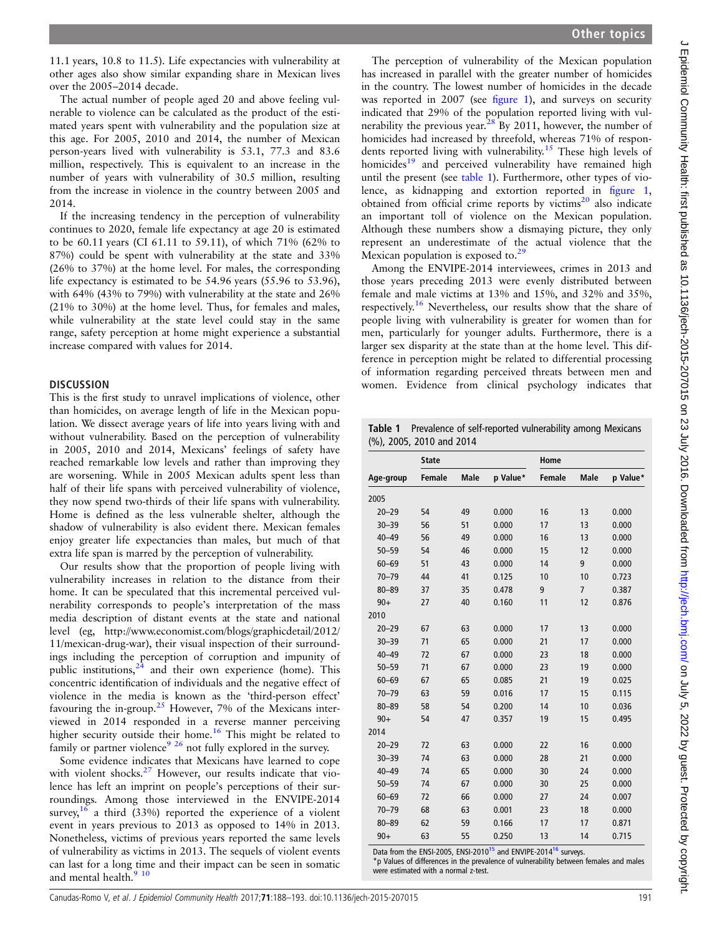11.1 years, 10.8 to 11.5). Life expectancies with vulnerability at other ages also show similar expanding share in Mexican lives over the 2005–2014 decade.

The actual number of people aged 20 and above feeling vulnerable to violence can be calculated as the product of the estimated years spent with vulnerability and the population size at this age. For 2005, 2010 and 2014, the number of Mexican person-years lived with vulnerability is 53.1, 77.3 and 83.6 million, respectively. This is equivalent to an increase in the number of years with vulnerability of 30.5 million, resulting from the increase in violence in the country between 2005 and 2014.

If the increasing tendency in the perception of vulnerability continues to 2020, female life expectancy at age 20 is estimated to be 60.11 years (CI 61.11 to 59.11), of which 71% (62% to 87%) could be spent with vulnerability at the state and 33% (26% to 37%) at the home level. For males, the corresponding life expectancy is estimated to be 54.96 years (55.96 to 53.96), with 64% (43% to 79%) with vulnerability at the state and 26% (21% to 30%) at the home level. Thus, for females and males, while vulnerability at the state level could stay in the same range, safety perception at home might experience a substantial increase compared with values for 2014.

#### **DISCUSSION**

This is the first study to unravel implications of violence, other than homicides, on average length of life in the Mexican population. We dissect average years of life into years living with and without vulnerability. Based on the perception of vulnerability in 2005, 2010 and 2014, Mexicans' feelings of safety have reached remarkable low levels and rather than improving they are worsening. While in 2005 Mexican adults spent less than half of their life spans with perceived vulnerability of violence, they now spend two-thirds of their life spans with vulnerability. Home is defined as the less vulnerable shelter, although the shadow of vulnerability is also evident there. Mexican females enjoy greater life expectancies than males, but much of that extra life span is marred by the perception of vulnerability.

Our results show that the proportion of people living with vulnerability increases in relation to the distance from their home. It can be speculated that this incremental perceived vulnerability corresponds to people's interpretation of the mass media description of distant events at the state and national level (eg, [http://www.economist.com/blogs/graphicdetail/2012/](http://www.economist.com/blogs/graphicdetail/2012/11/mexican-drug-war) [11/mexican-drug-war\)](http://www.economist.com/blogs/graphicdetail/2012/11/mexican-drug-war), their visual inspection of their surroundings including the perception of corruption and impunity of public institutions, $24$  and their own experience (home). This concentric identification of individuals and the negative effect of violence in the media is known as the 'third-person effect' favouring the in-group.<sup>[25](#page-5-0)</sup> However, 7% of the Mexicans interviewed in 2014 responded in a reverse manner perceiving higher security outside their home.<sup>16</sup> This might be related to family or partner violence<sup>[9 26](#page-5-0)</sup> not fully explored in the survey.

Some evidence indicates that Mexicans have learned to cope with violent shocks.<sup>[27](#page-5-0)</sup> However, our results indicate that violence has left an imprint on people's perceptions of their surroundings. Among those interviewed in the ENVIPE-2014 survey,  $16$  a third (33%) reported the experience of a violent event in years previous to 2013 as opposed to 14% in 2013. Nonetheless, victims of previous years reported the same levels of vulnerability as victims in 2013. The sequels of violent events can last for a long time and their impact can be seen in somatic and mental health.<sup>9</sup> <sup>10</sup>

The perception of vulnerability of the Mexican population has increased in parallel with the greater number of homicides in the country. The lowest number of homicides in the decade was reported in 2007 (see fi[gure 1](#page-1-0)), and surveys on security indicated that 29% of the population reported living with vul-nerability the previous year.<sup>[28](#page-5-0)</sup> By 2011, however, the number of homicides had increased by threefold, whereas 71% of respondents reported living with vulnerability.[15](#page-5-0) These high levels of homicides<sup>[19](#page-5-0)</sup> and perceived vulnerability have remained high until the present (see table 1). Furthermore, other types of violence, as kidnapping and extortion reported in fi[gure 1,](#page-1-0) obtained from official crime reports by victims $^{20}$  $^{20}$  $^{20}$  also indicate an important toll of violence on the Mexican population. Although these numbers show a dismaying picture, they only represent an underestimate of the actual violence that the Mexican population is exposed to.<sup>[29](#page-5-0)</sup>

Among the ENVIPE-2014 interviewees, crimes in 2013 and those years preceding 2013 were evenly distributed between female and male victims at 13% and 15%, and 32% and 35%, respectively.[16](#page-5-0) Nevertheless, our results show that the share of people living with vulnerability is greater for women than for men, particularly for younger adults. Furthermore, there is a larger sex disparity at the state than at the home level. This difference in perception might be related to differential processing of information regarding perceived threats between men and women. Evidence from clinical psychology indicates that

Table 1 Prevalence of self-reported vulnerability among Mexicans (%), 2005, 2010 and 2014

|           | <b>State</b>  |             |          | Home   |                |          |
|-----------|---------------|-------------|----------|--------|----------------|----------|
| Age-group | <b>Female</b> | <b>Male</b> | p Value* | Female | <b>Male</b>    | p Value* |
| 2005      |               |             |          |        |                |          |
| $20 - 29$ | 54            | 49          | 0.000    | 16     | 13             | 0.000    |
| $30 - 39$ | 56            | 51          | 0.000    | 17     | 13             | 0.000    |
| $40 - 49$ | 56            | 49          | 0.000    | 16     | 13             | 0.000    |
| $50 - 59$ | 54            | 46          | 0.000    | 15     | 12             | 0.000    |
| $60 - 69$ | 51            | 43          | 0.000    | 14     | 9              | 0.000    |
| $70 - 79$ | 44            | 41          | 0.125    | 10     | 10             | 0.723    |
| $80 - 89$ | 37            | 35          | 0.478    | 9      | $\overline{7}$ | 0.387    |
| $90+$     | 27            | 40          | 0.160    | 11     | 12             | 0.876    |
| 2010      |               |             |          |        |                |          |
| $20 - 29$ | 67            | 63          | 0.000    | 17     | 13             | 0.000    |
| $30 - 39$ | 71            | 65          | 0.000    | 21     | 17             | 0.000    |
| $40 - 49$ | 72            | 67          | 0.000    | 23     | 18             | 0.000    |
| $50 - 59$ | 71            | 67          | 0.000    | 23     | 19             | 0.000    |
| $60 - 69$ | 67            | 65          | 0.085    | 21     | 19             | 0.025    |
| $70 - 79$ | 63            | 59          | 0.016    | 17     | 15             | 0.115    |
| $80 - 89$ | 58            | 54          | 0.200    | 14     | 10             | 0.036    |
| $90+$     | 54            | 47          | 0.357    | 19     | 15             | 0.495    |
| 2014      |               |             |          |        |                |          |
| $20 - 29$ | 72            | 63          | 0.000    | 22     | 16             | 0.000    |
| $30 - 39$ | 74            | 63          | 0.000    | 28     | 21             | 0.000    |
| $40 - 49$ | 74            | 65          | 0.000    | 30     | 24             | 0.000    |
| $50 - 59$ | 74            | 67          | 0.000    | 30     | 25             | 0.000    |
| $60 - 69$ | 72            | 66          | 0.000    | 27     | 24             | 0.007    |
| $70 - 79$ | 68            | 63          | 0.001    | 23     | 18             | 0.000    |
| $80 - 89$ | 62            | 59          | 0.166    | 17     | 17             | 0.871    |
| $90+$     | 63            | 55          | 0.250    | 13     | 14             | 0.715    |
|           |               |             |          |        |                |          |

Data from the ENSI-2005, ENSI-2010<sup>[15](#page-5-0)</sup> and ENVIPE-2014<sup>16</sup> surveys.

\*p Values of differences in the prevalence of vulnerability between females and males were estimated with a normal z-test.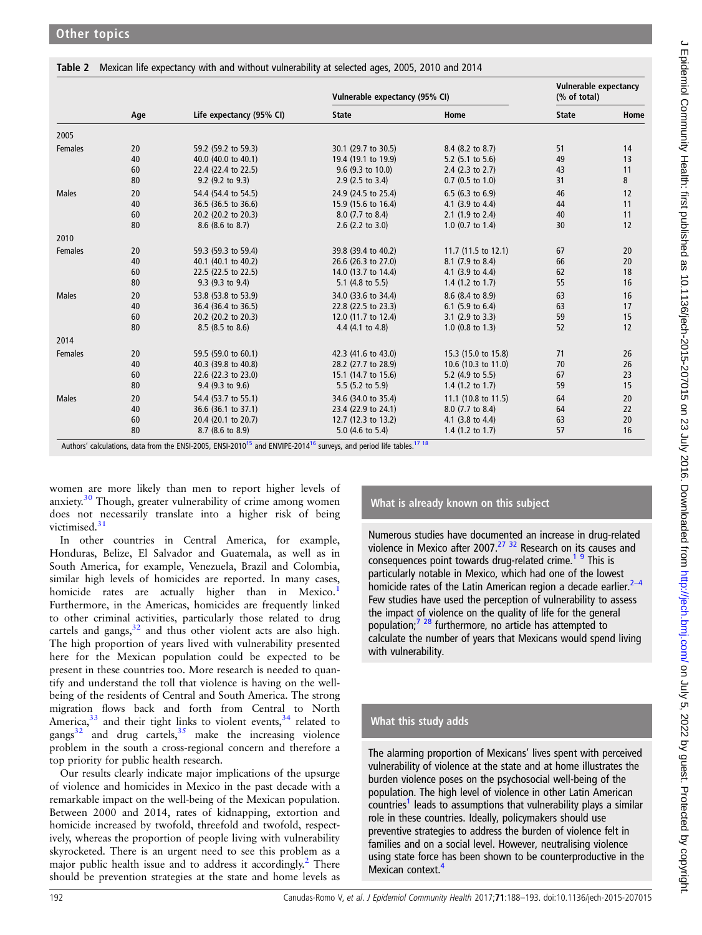<span id="page-4-0"></span>Table 2 Mexican life expectancy with and without vulnerability at selected ages, 2005, 2010 and 2014

|              | Age |                                                                                                                                                         | Vulnerable expectancy (95% CI) |                             | Vulnerable expectancy<br>(% of total) |      |
|--------------|-----|---------------------------------------------------------------------------------------------------------------------------------------------------------|--------------------------------|-----------------------------|---------------------------------------|------|
|              |     | Life expectancy (95% CI)                                                                                                                                | <b>State</b>                   | Home                        | <b>State</b>                          | Home |
| 2005         |     |                                                                                                                                                         |                                |                             |                                       |      |
| Females      | 20  | 59.2 (59.2 to 59.3)                                                                                                                                     | 30.1 (29.7 to 30.5)            | 8.4 (8.2 to 8.7)            | 51                                    | 14   |
|              | 40  | 40.0 (40.0 to 40.1)                                                                                                                                     | 19.4 (19.1 to 19.9)            | 5.2 $(5.1 \text{ to } 5.6)$ | 49                                    | 13   |
|              | 60  | 22.4 (22.4 to 22.5)                                                                                                                                     | $9.6$ (9.3 to 10.0)            | 2.4 $(2.3 \text{ to } 2.7)$ | 43                                    | 11   |
|              | 80  | 9.2 (9.2 to 9.3)                                                                                                                                        | $2.9$ (2.5 to 3.4)             | $0.7$ (0.5 to 1.0)          | 31                                    | 8    |
| <b>Males</b> | 20  | 54.4 (54.4 to 54.5)                                                                                                                                     | 24.9 (24.5 to 25.4)            | 6.5 (6.3 to 6.9)            | 46                                    | 12   |
|              | 40  | 36.5 (36.5 to 36.6)                                                                                                                                     | 15.9 (15.6 to 16.4)            | 4.1 (3.9 to 4.4)            | 44                                    | 11   |
|              | 60  | 20.2 (20.2 to 20.3)                                                                                                                                     | 8.0 (7.7 to 8.4)               | 2.1 $(1.9 \text{ to } 2.4)$ | 40                                    | 11   |
|              | 80  | 8.6 (8.6 to 8.7)                                                                                                                                        | $2.6$ (2.2 to 3.0)             | 1.0 $(0.7 \text{ to } 1.4)$ | 30                                    | 12   |
| 2010         |     |                                                                                                                                                         |                                |                             |                                       |      |
| Females      | 20  | 59.3 (59.3 to 59.4)                                                                                                                                     | 39.8 (39.4 to 40.2)            | 11.7 (11.5 to 12.1)         | 67                                    | 20   |
|              | 40  | 40.1 (40.1 to 40.2)                                                                                                                                     | 26.6 (26.3 to 27.0)            | 8.1 (7.9 to 8.4)            | 66                                    | 20   |
|              | 60  | 22.5 (22.5 to 22.5)                                                                                                                                     | 14.0 (13.7 to 14.4)            | 4.1 $(3.9 \text{ to } 4.4)$ | 62                                    | 18   |
|              | 80  | 9.3 (9.3 to 9.4)                                                                                                                                        | 5.1 $(4.8 \text{ to } 5.5)$    | 1.4 $(1.2 \text{ to } 1.7)$ | 55                                    | 16   |
| <b>Males</b> | 20  | 53.8 (53.8 to 53.9)                                                                                                                                     | 34.0 (33.6 to 34.4)            | 8.6 (8.4 to 8.9)            | 63                                    | 16   |
|              | 40  | 36.4 (36.4 to 36.5)                                                                                                                                     | 22.8 (22.5 to 23.3)            | 6.1 $(5.9 \text{ to } 6.4)$ | 63                                    | 17   |
|              | 60  | 20.2 (20.2 to 20.3)                                                                                                                                     | 12.0 (11.7 to 12.4)            | $3.1$ (2.9 to 3.3)          | 59                                    | 15   |
|              | 80  | 8.5 (8.5 to 8.6)                                                                                                                                        | 4.4 (4.1 to 4.8)               | 1.0 $(0.8 \text{ to } 1.3)$ | 52                                    | 12   |
| 2014         |     |                                                                                                                                                         |                                |                             |                                       |      |
| Females      | 20  | 59.5 (59.0 to 60.1)                                                                                                                                     | 42.3 (41.6 to 43.0)            | 15.3 (15.0 to 15.8)         | 71                                    | 26   |
|              | 40  | 40.3 (39.8 to 40.8)                                                                                                                                     | 28.2 (27.7 to 28.9)            | 10.6 (10.3 to 11.0)         | 70                                    | 26   |
|              | 60  | 22.6 (22.3 to 23.0)                                                                                                                                     | 15.1 (14.7 to 15.6)            | 5.2 $(4.9 \text{ to } 5.5)$ | 67                                    | 23   |
|              | 80  | 9.4 (9.3 to 9.6)                                                                                                                                        | 5.5 $(5.2 \text{ to } 5.9)$    | 1.4 $(1.2 \text{ to } 1.7)$ | 59                                    | 15   |
| <b>Males</b> | 20  | 54.4 (53.7 to 55.1)                                                                                                                                     | 34.6 (34.0 to 35.4)            | 11.1 (10.8 to 11.5)         | 64                                    | 20   |
|              | 40  | 36.6 (36.1 to 37.1)                                                                                                                                     | 23.4 (22.9 to 24.1)            | 8.0 (7.7 to 8.4)            | 64                                    | 22   |
|              | 60  | 20.4 (20.1 to 20.7)                                                                                                                                     | 12.7 (12.3 to 13.2)            | 4.1 (3.8 to 4.4)            | 63                                    | 20   |
|              | 80  | 8.7 (8.6 to 8.9)                                                                                                                                        | 5.0 (4.6 to 5.4)               | 1.4 (1.2 to 1.7)            | 57                                    | 16   |
|              |     | Authors' calculations, data from the ENSI-2005, ENSI-2010 <sup>15</sup> and ENVIPE-2014 <sup>16</sup> surveys, and period life tables. <sup>17 18</sup> |                                |                             |                                       |      |

women are more likely than men to report higher levels of anxiety.<sup>[30](#page-5-0)</sup> Though, greater vulnerability of crime among women does not necessarily translate into a higher risk of being victimised.<sup>[31](#page-5-0)</sup>

In other countries in Central America, for example, Honduras, Belize, El Salvador and Guatemala, as well as in South America, for example, Venezuela, Brazil and Colombia, similar high levels of homicides are reported. In many cases, homicide rates are actually higher than in Mexico. Furthermore, in the Americas, homicides are frequently linked to other criminal activities, particularly those related to drug cartels and gangs, $32$  and thus other violent acts are also high. The high proportion of years lived with vulnerability presented here for the Mexican population could be expected to be present in these countries too. More research is needed to quantify and understand the toll that violence is having on the wellbeing of the residents of Central and South America. The strong migration flows back and forth from Central to North America, $33$  and their tight links to violent events,  $34$  related to gangs $32$  and drug cartels,  $35$  make the increasing violence problem in the south a cross-regional concern and therefore a top priority for public health research.

Our results clearly indicate major implications of the upsurge of violence and homicides in Mexico in the past decade with a remarkable impact on the well-being of the Mexican population. Between 2000 and 2014, rates of kidnapping, extortion and homicide increased by twofold, threefold and twofold, respectively, whereas the proportion of people living with vulnerability skyrocketed. There is an urgent need to see this problem as a major public health issue and to address it accordingly.<sup>[2](#page-5-0)</sup> There should be prevention strategies at the state and home levels as

## What is already known on this subject

Numerous studies have documented an increase in drug-related violence in Mexico after 2007.<sup>27</sup> <sup>32</sup> Research on its causes and consequences point towards drug-related crime.<sup>1</sup> <sup>9</sup> This is particularly notable in Mexico, which had one of the lowest homicide rates of the Latin American region a decade earlier. $2-4$ Few studies have used the perception of vulnerability to assess the impact of violence on the quality of life for the general population;<sup>[7 28](#page-5-0)</sup> furthermore, no article has attempted to calculate the number of years that Mexicans would spend living with vulnerability.

## What this study adds

The alarming proportion of Mexicans' lives spent with perceived vulnerability of violence at the state and at home illustrates the burden violence poses on the psychosocial well-being of the population. The high level of violence in other Latin American  $countries<sup>1</sup>$  $countries<sup>1</sup>$  $countries<sup>1</sup>$  leads to assumptions that vulnerability plays a similar role in these countries. Ideally, policymakers should use preventive strategies to address the burden of violence felt in families and on a social level. However, neutralising violence using state force has been shown to be counterproductive in the Mexican context.<sup>[4](#page-5-0)</sup>